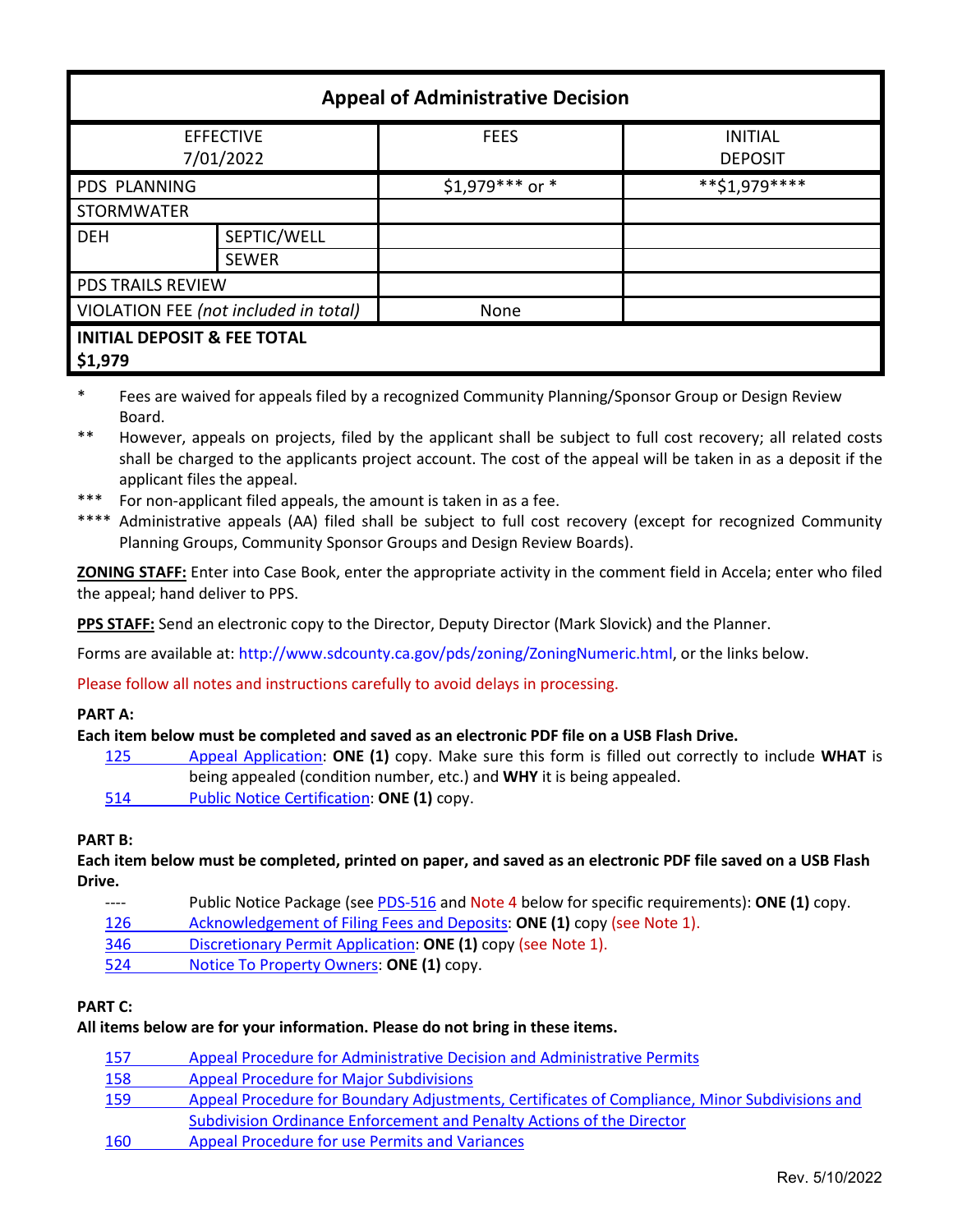| <b>Appeal of Administrative Decision</b>          |                             |                  |                                  |  |
|---------------------------------------------------|-----------------------------|------------------|----------------------------------|--|
| <b>EFFECTIVE</b><br>7/01/2022                     |                             | <b>FEES</b>      | <b>INITIAL</b><br><b>DEPOSIT</b> |  |
| PDS PLANNING                                      |                             | \$1,979 *** or * | **\$1,979****                    |  |
| <b>STORMWATER</b>                                 |                             |                  |                                  |  |
| <b>DEH</b>                                        | SEPTIC/WELL<br><b>SEWER</b> |                  |                                  |  |
| PDS TRAILS REVIEW                                 |                             |                  |                                  |  |
| VIOLATION FEE (not included in total)             |                             | None             |                                  |  |
| <b>INITIAL DEPOSIT &amp; FEE TOTAL</b><br>\$1,979 |                             |                  |                                  |  |

- \* Fees are waived for appeals filed by a recognized Community Planning/Sponsor Group or Design Review Board.
- \*\* However, appeals on projects, filed by the applicant shall be subject to full cost recovery; all related costs shall be charged to the applicants project account. The cost of the appeal will be taken in as a deposit if the applicant files the appeal.
- \*\*\* For non-applicant filed appeals, the amount is taken in as a fee.
- \*\*\*\* Administrative appeals (AA) filed shall be subject to full cost recovery (except for recognized Community Planning Groups, Community Sponsor Groups and Design Review Boards).

**ZONING STAFF:** Enter into Case Book, enter the appropriate activity in the comment field in Accela; enter who filed the appeal; hand deliver to PPS.

**PPS STAFF:** Send an electronic copy to the Director, Deputy Director (Mark Slovick) and the Planner.

Forms are available at: [http://www.sdcounty.ca.gov/pds/zoning/ZoningNumeric.html,](http://www.sdcounty.ca.gov/pds/zoning/ZoningNumeric.html) or the links below.

Please follow all notes and instructions carefully to avoid delays in processing.

# **PART A:**

# **Each item below must be completed and saved as an electronic PDF file on a USB Flash Drive.**

- 125 [Appeal Application:](https://www.sandiegocounty.gov/content/dam/sdc/pds/zoning/formfields/PDS-PLN-125.pdf) **ONE (1)** copy. Make sure this form is filled out correctly to include **WHAT** is being appealed (condition number, etc.) and **WHY** it is being appealed.
- 514 [Public Notice Certification:](http://www.sdcounty.ca.gov/pds/zoning/formfields/PDS-PLN-514.pdf) **ONE (1)** copy.

# **PART B:**

**Each item below must be completed, printed on paper, and saved as an electronic PDF file saved on a USB Flash Drive.**

- Public Notice Package (se[e PDS-516](https://www.sandiegocounty.gov/pds/zoning/formfields/PDS-PLN-516.pdf) and Note 4 below for specific requirements): **ONE (1)** copy.
- [126 Acknowledgement of Filing Fees and Deposits:](https://www.sandiegocounty.gov/content/dam/sdc/pds/zoning/formfields/PDS-PLN-126.pdf) **ONE (1)** copy (see Note 1).
- 346 [Discretionary Permit Application:](https://www.sandiegocounty.gov/content/dam/sdc/pds/zoning/formfields/PDS-PLN-346.pdf) **ONE (1)** copy (see Note 1).
- 524 [Notice To Property Owners:](http://www.sdcounty.ca.gov/pds/zoning/formfields/PDS-PLN-524.pdf) **ONE (1)** copy.

# **PART C:**

# **All items below are for your information. Please do not bring in these items.**

| 157 | Appeal Procedure for Administrative Decision and Administrative Permits                       |
|-----|-----------------------------------------------------------------------------------------------|
| 158 | <b>Appeal Procedure for Major Subdivisions</b>                                                |
| 159 | Appeal Procedure for Boundary Adjustments, Certificates of Compliance, Minor Subdivisions and |
|     | Subdivision Ordinance Enforcement and Penalty Actions of the Director                         |
| 160 | Appeal Procedure for use Permits and Variances                                                |